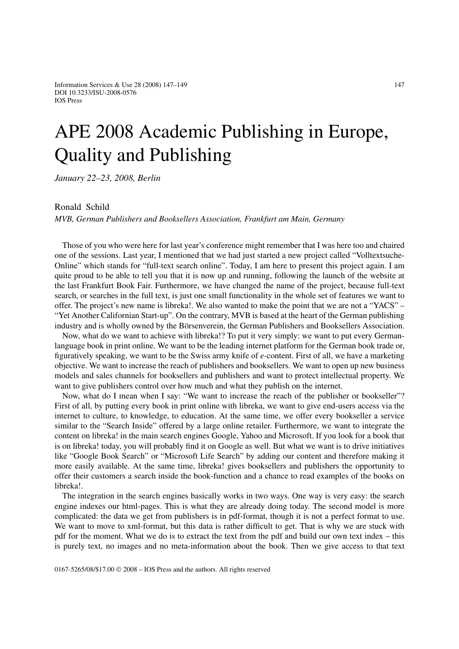## APE 2008 Academic Publishing in Europe, Quality and Publishing

*January 22–23, 2008, Berlin*

## Ronald Schild

*MVB, German Publishers and Booksellers Association, Frankfurt am Main, Germany*

Those of you who were here for last year's conference might remember that I was here too and chaired one of the sessions. Last year, I mentioned that we had just started a new project called "Volltextsuche-Online" which stands for "full-text search online". Today, I am here to present this project again. I am quite proud to be able to tell you that it is now up and running, following the launch of the website at the last Frankfurt Book Fair. Furthermore, we have changed the name of the project, because full-text search, or searches in the full text, is just one small functionality in the whole set of features we want to offer. The project's new name is libreka!. We also wanted to make the point that we are not a "YACS" – "Yet Another Californian Start-up". On the contrary, MVB is based at the heart of the German publishing industry and is wholly owned by the Börsenverein, the German Publishers and Booksellers Association.

Now, what do we want to achieve with libreka!? To put it very simply: we want to put every Germanlanguage book in print online. We want to be the leading internet platform for the German book trade or, figuratively speaking, we want to be the Swiss army knife of *e-*content. First of all, we have a marketing objective. We want to increase the reach of publishers and booksellers. We want to open up new business models and sales channels for booksellers and publishers and want to protect intellectual property. We want to give publishers control over how much and what they publish on the internet.

Now, what do I mean when I say: "We want to increase the reach of the publisher or bookseller"? First of all, by putting every book in print online with libreka, we want to give end-users access via the internet to culture, to knowledge, to education. At the same time, we offer every bookseller a service similar to the "Search Inside" offered by a large online retailer. Furthermore, we want to integrate the content on libreka! in the main search engines Google, Yahoo and Microsoft. If you look for a book that is on libreka! today, you will probably find it on Google as well. But what we want is to drive initiatives like "Google Book Search" or "Microsoft Life Search" by adding our content and therefore making it more easily available. At the same time, libreka! gives booksellers and publishers the opportunity to offer their customers a search inside the book-function and a chance to read examples of the books on libreka!.

The integration in the search engines basically works in two ways. One way is very easy: the search engine indexes our html-pages. This is what they are already doing today. The second model is more complicated: the data we get from publishers is in pdf-format, though it is not a perfect format to use. We want to move to xml-format, but this data is rather difficult to get. That is why we are stuck with pdf for the moment. What we do is to extract the text from the pdf and build our own text index – this is purely text, no images and no meta-information about the book. Then we give access to that text

0167-5265/08/\$17.00 © 2008 – IOS Press and the authors. All rights reserved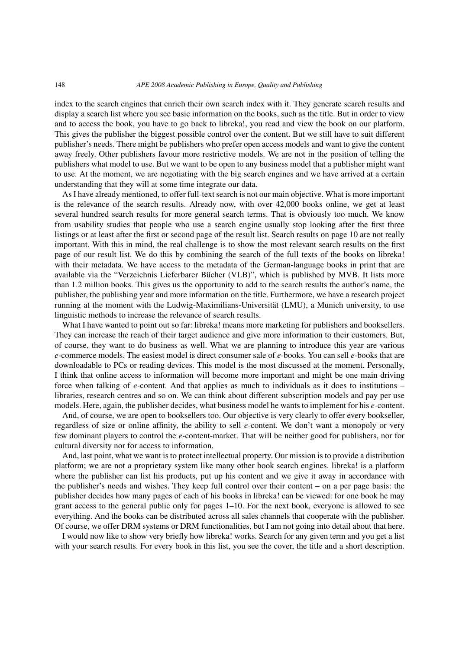index to the search engines that enrich their own search index with it. They generate search results and display a search list where you see basic information on the books, such as the title. But in order to view and to access the book, you have to go back to libreka!, you read and view the book on our platform. This gives the publisher the biggest possible control over the content. But we still have to suit different publisher's needs. There might be publishers who prefer open access models and want to give the content away freely. Other publishers favour more restrictive models. We are not in the position of telling the publishers what model to use. But we want to be open to any business model that a publisher might want to use. At the moment, we are negotiating with the big search engines and we have arrived at a certain understanding that they will at some time integrate our data.

As I have already mentioned, to offer full-text search is not our main objective. What is more important is the relevance of the search results. Already now, with over 42,000 books online, we get at least several hundred search results for more general search terms. That is obviously too much. We know from usability studies that people who use a search engine usually stop looking after the first three listings or at least after the first or second page of the result list. Search results on page 10 are not really important. With this in mind, the real challenge is to show the most relevant search results on the first page of our result list. We do this by combining the search of the full texts of the books on libreka! with their metadata. We have access to the metadata of the German-language books in print that are available via the "Verzeichnis Lieferbarer Bücher (VLB)", which is published by MVB. It lists more than 1.2 million books. This gives us the opportunity to add to the search results the author's name, the publisher, the publishing year and more information on the title. Furthermore, we have a research project running at the moment with the Ludwig-Maximilians-Universität (LMU), a Munich university, to use linguistic methods to increase the relevance of search results.

What I have wanted to point out so far: libreka! means more marketing for publishers and booksellers. They can increase the reach of their target audience and give more information to their customers. But, of course, they want to do business as well. What we are planning to introduce this year are various *e-*commerce models. The easiest model is direct consumer sale of *e-*books. You can sell *e-*books that are downloadable to PCs or reading devices. This model is the most discussed at the moment. Personally, I think that online access to information will become more important and might be one main driving force when talking of *e-*content. And that applies as much to individuals as it does to institutions – libraries, research centres and so on. We can think about different subscription models and pay per use models. Here, again, the publisher decides, what business model he wants to implement for his *e-*content.

And, of course, we are open to booksellers too. Our objective is very clearly to offer every bookseller, regardless of size or online affinity, the ability to sell *e-*content. We don't want a monopoly or very few dominant players to control the *e-*content-market. That will be neither good for publishers, nor for cultural diversity nor for access to information.

And, last point, what we want is to protect intellectual property. Our mission is to provide a distribution platform; we are not a proprietary system like many other book search engines. libreka! is a platform where the publisher can list his products, put up his content and we give it away in accordance with the publisher's needs and wishes. They keep full control over their content – on a per page basis: the publisher decides how many pages of each of his books in libreka! can be viewed: for one book he may grant access to the general public only for pages 1–10. For the next book, everyone is allowed to see everything. And the books can be distributed across all sales channels that cooperate with the publisher. Of course, we offer DRM systems or DRM functionalities, but I am not going into detail about that here.

I would now like to show very briefly how libreka! works. Search for any given term and you get a list with your search results. For every book in this list, you see the cover, the title and a short description.